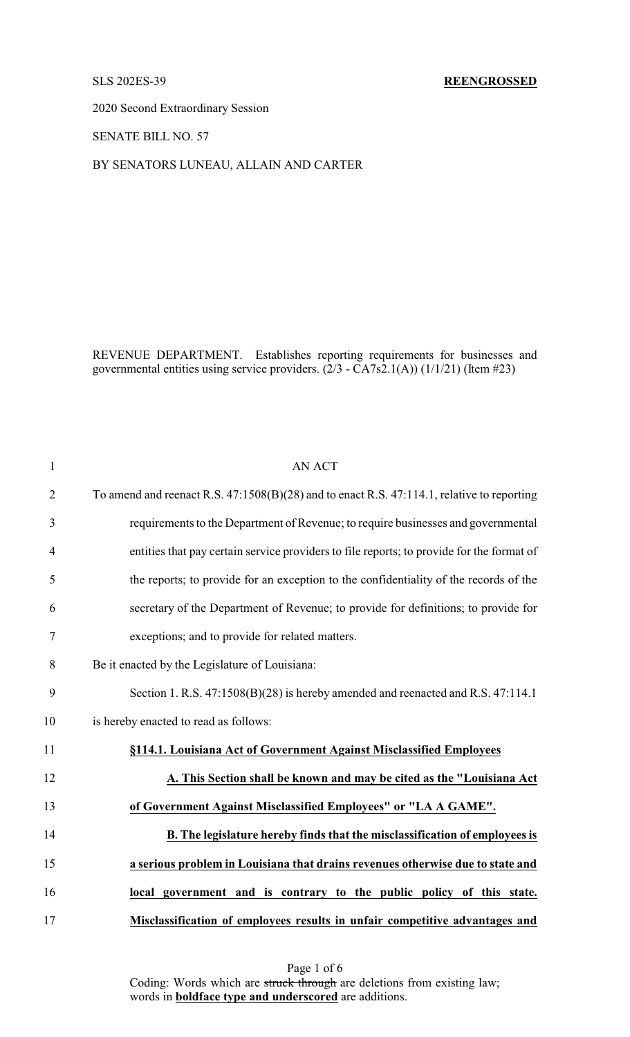## SLS 202ES-39 **REENGROSSED**

2020 Second Extraordinary Session

SENATE BILL NO. 57

# BY SENATORS LUNEAU, ALLAIN AND CARTER

REVENUE DEPARTMENT. Establishes reporting requirements for businesses and governmental entities using service providers.  $(2/3 - \overline{C}A7s2.1(A))(1/1/21)$  (Item #23)

| $\mathbf{1}$   | <b>AN ACT</b>                                                                              |
|----------------|--------------------------------------------------------------------------------------------|
| $\overline{2}$ | To amend and reenact R.S. 47:1508(B)(28) and to enact R.S. 47:114.1, relative to reporting |
| 3              | requirements to the Department of Revenue; to require businesses and governmental          |
| $\overline{4}$ | entities that pay certain service providers to file reports; to provide for the format of  |
| 5              | the reports; to provide for an exception to the confidentiality of the records of the      |
| 6              | secretary of the Department of Revenue; to provide for definitions; to provide for         |
| 7              | exceptions; and to provide for related matters.                                            |
| 8              | Be it enacted by the Legislature of Louisiana:                                             |
| 9              | Section 1. R.S. 47:1508(B)(28) is hereby amended and reenacted and R.S. 47:114.1           |
| 10             | is hereby enacted to read as follows:                                                      |
| 11             | §114.1. Louisiana Act of Government Against Misclassified Employees                        |
| 12             | A. This Section shall be known and may be cited as the "Louisiana Act                      |
| 13             | of Government Against Misclassified Employees" or "LA A GAME".                             |
| 14             | B. The legislature hereby finds that the misclassification of employees is                 |
| 15             | a serious problem in Louisiana that drains revenues otherwise due to state and             |
| 16             | local government and is contrary to the public policy of this state.                       |
| 17             | Misclassification of employees results in unfair competitive advantages and                |

Page 1 of 6 Coding: Words which are struck through are deletions from existing law; words in **boldface type and underscored** are additions.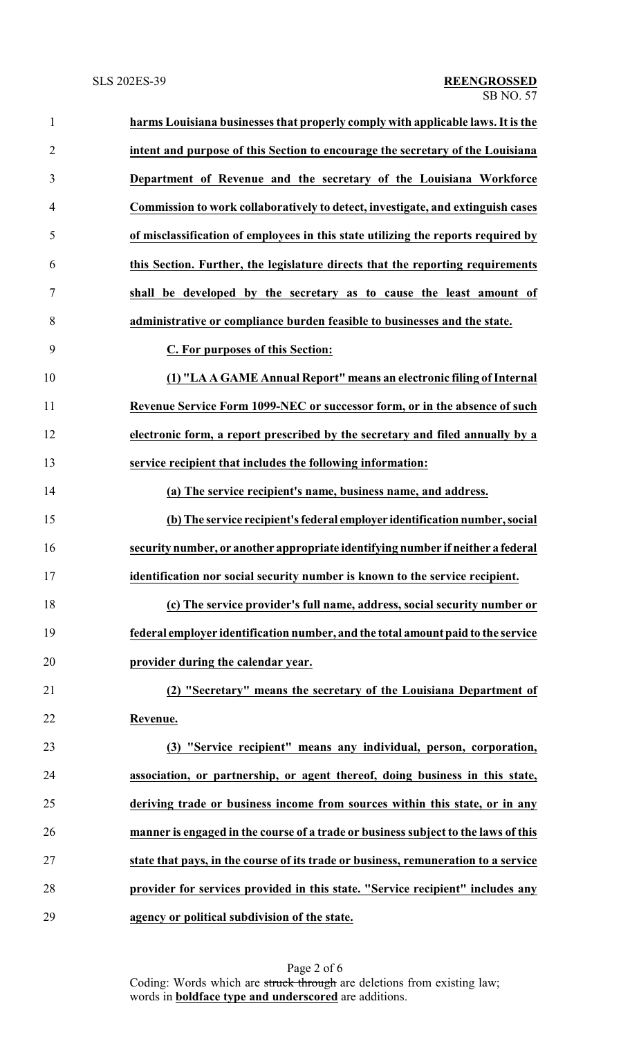| $\mathbf{1}$   | harms Louisiana businesses that properly comply with applicable laws. It is the    |
|----------------|------------------------------------------------------------------------------------|
| $\overline{2}$ | intent and purpose of this Section to encourage the secretary of the Louisiana     |
| 3              | Department of Revenue and the secretary of the Louisiana Workforce                 |
| $\overline{4}$ | Commission to work collaboratively to detect, investigate, and extinguish cases    |
| 5              | of misclassification of employees in this state utilizing the reports required by  |
| 6              | this Section. Further, the legislature directs that the reporting requirements     |
| 7              | shall be developed by the secretary as to cause the least amount of                |
| 8              | administrative or compliance burden feasible to businesses and the state.          |
| 9              | C. For purposes of this Section:                                                   |
| 10             | (1) "LA A GAME Annual Report" means an electronic filing of Internal               |
| 11             | Revenue Service Form 1099-NEC or successor form, or in the absence of such         |
| 12             | electronic form, a report prescribed by the secretary and filed annually by a      |
| 13             | service recipient that includes the following information:                         |
| 14             | (a) The service recipient's name, business name, and address.                      |
| 15             | (b) The service recipient's federal employer identification number, social         |
| 16             | security number, or another appropriate identifying number if neither a federal    |
| 17             | identification nor social security number is known to the service recipient.       |
| 18             | (c) The service provider's full name, address, social security number or           |
| 19             | federal employer identification number, and the total amount paid to the service   |
| 20             | provider during the calendar year.                                                 |
| 21             | (2) "Secretary" means the secretary of the Louisiana Department of                 |
| 22             | Revenue.                                                                           |
| 23             | (3) "Service recipient" means any individual, person, corporation,                 |
| 24             | association, or partnership, or agent thereof, doing business in this state,       |
| 25             | deriving trade or business income from sources within this state, or in any        |
| 26             | manner is engaged in the course of a trade or business subject to the laws of this |
| 27             | state that pays, in the course of its trade or business, remuneration to a service |
| 28             | provider for services provided in this state. "Service recipient" includes any     |
| 29             | agency or political subdivision of the state.                                      |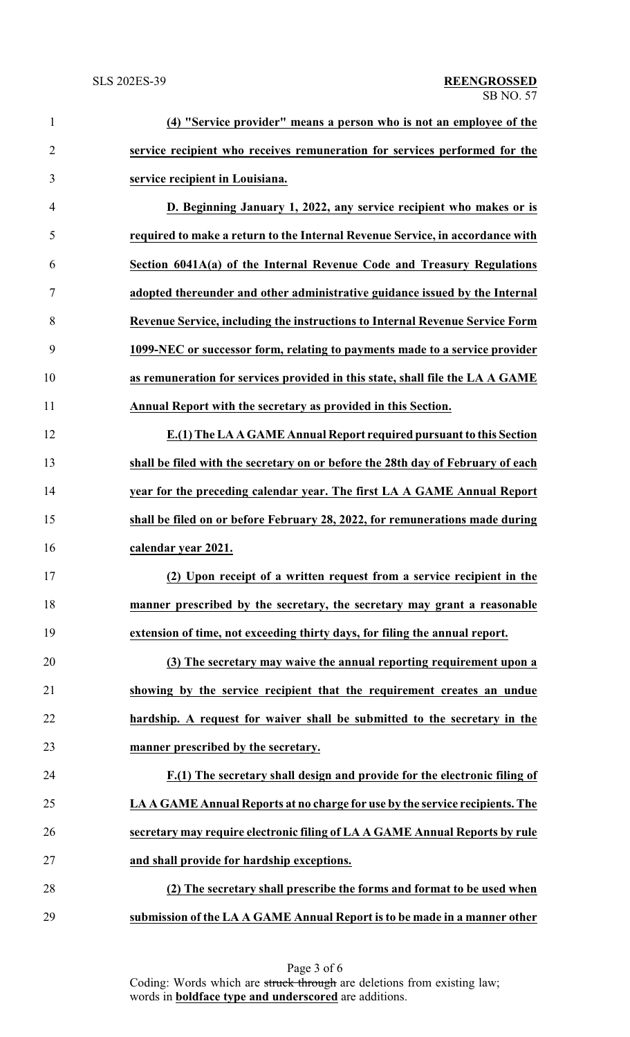| $\mathbf{1}$   | (4) "Service provider" means a person who is not an employee of the             |
|----------------|---------------------------------------------------------------------------------|
| $\overline{2}$ | service recipient who receives remuneration for services performed for the      |
| 3              | service recipient in Louisiana.                                                 |
| $\overline{4}$ | D. Beginning January 1, 2022, any service recipient who makes or is             |
| 5              | required to make a return to the Internal Revenue Service, in accordance with   |
| 6              | Section 6041A(a) of the Internal Revenue Code and Treasury Regulations          |
| $\tau$         | adopted thereunder and other administrative guidance issued by the Internal     |
| 8              | Revenue Service, including the instructions to Internal Revenue Service Form    |
| 9              | 1099-NEC or successor form, relating to payments made to a service provider     |
| 10             | as remuneration for services provided in this state, shall file the LA A GAME   |
| 11             | Annual Report with the secretary as provided in this Section.                   |
| 12             | E.(1) The LA A GAME Annual Report required pursuant to this Section             |
| 13             | shall be filed with the secretary on or before the 28th day of February of each |
| 14             | year for the preceding calendar year. The first LA A GAME Annual Report         |
| 15             | shall be filed on or before February 28, 2022, for remunerations made during    |
| 16             | calendar year 2021.                                                             |
| 17             | (2) Upon receipt of a written request from a service recipient in the           |
| 18             | manner prescribed by the secretary, the secretary may grant a reasonable        |
| 19             | extension of time, not exceeding thirty days, for filing the annual report.     |
| 20             | (3) The secretary may waive the annual reporting requirement upon a             |
| 21             | showing by the service recipient that the requirement creates an undue          |
| 22             | hardship. A request for waiver shall be submitted to the secretary in the       |
| 23             | manner prescribed by the secretary.                                             |
| 24             | F.(1) The secretary shall design and provide for the electronic filing of       |
| 25             | LA A GAME Annual Reports at no charge for use by the service recipients. The    |
| 26             | secretary may require electronic filing of LA A GAME Annual Reports by rule     |
| 27             | and shall provide for hardship exceptions.                                      |
| 28             | (2) The secretary shall prescribe the forms and format to be used when          |
| 29             | submission of the LA A GAME Annual Report is to be made in a manner other       |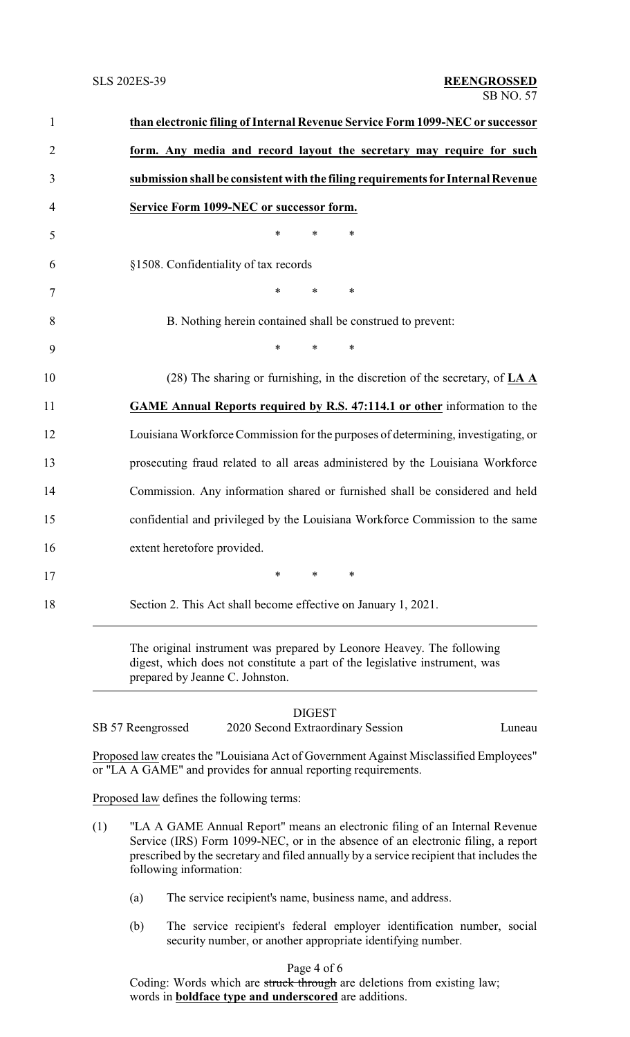|     | than electronic filing of Internal Revenue Service Form 1099-NEC or successor                                                                                                           |
|-----|-----------------------------------------------------------------------------------------------------------------------------------------------------------------------------------------|
|     | form. Any media and record layout the secretary may require for such                                                                                                                    |
|     | submission shall be consistent with the filing requirements for Internal Revenue                                                                                                        |
|     | <b>Service Form 1099-NEC or successor form.</b>                                                                                                                                         |
|     | *<br>$\ast$<br>*                                                                                                                                                                        |
|     | §1508. Confidentiality of tax records                                                                                                                                                   |
|     | *<br>$\ast$<br>∗                                                                                                                                                                        |
|     | B. Nothing herein contained shall be construed to prevent:                                                                                                                              |
|     | *<br>$\ast$<br>∗                                                                                                                                                                        |
|     | (28) The sharing or furnishing, in the discretion of the secretary, of LA A                                                                                                             |
|     | <b>GAME Annual Reports required by R.S. 47:114.1 or other information to the</b>                                                                                                        |
|     | Louisiana Workforce Commission for the purposes of determining, investigating, or                                                                                                       |
|     | prosecuting fraud related to all areas administered by the Louisiana Workforce                                                                                                          |
|     | Commission. Any information shared or furnished shall be considered and held                                                                                                            |
|     | confidential and privileged by the Louisiana Workforce Commission to the same                                                                                                           |
|     | extent heretofore provided.                                                                                                                                                             |
|     |                                                                                                                                                                                         |
|     | Section 2. This Act shall become effective on January 1, 2021.                                                                                                                          |
|     | The original instrument was prepared by Leonore Heavey. The following<br>digest, which does not constitute a part of the legislative instrument, was<br>prepared by Jeanne C. Johnston. |
|     | <b>DIGEST</b>                                                                                                                                                                           |
|     | 2020 Second Extraordinary Session<br>SB 57 Reengrossed<br>Luneau                                                                                                                        |
|     | Proposed law creates the "Louisiana Act of Government Against Misclassified Employees"<br>or "LA A GAME" and provides for annual reporting requirements.                                |
|     | Proposed law defines the following terms:                                                                                                                                               |
| (1) | "LA A GAME Annual Report" means an electronic filing of an Internal Revenue                                                                                                             |

- Service (IRS) Form 1099-NEC, or in the absence of an electronic filing, a report prescribed by the secretary and filed annually by a service recipient that includes the following information:
	- (a) The service recipient's name, business name, and address.
	- (b) The service recipient's federal employer identification number, social security number, or another appropriate identifying number.

# Page 4 of 6

Coding: Words which are struck through are deletions from existing law; words in **boldface type and underscored** are additions.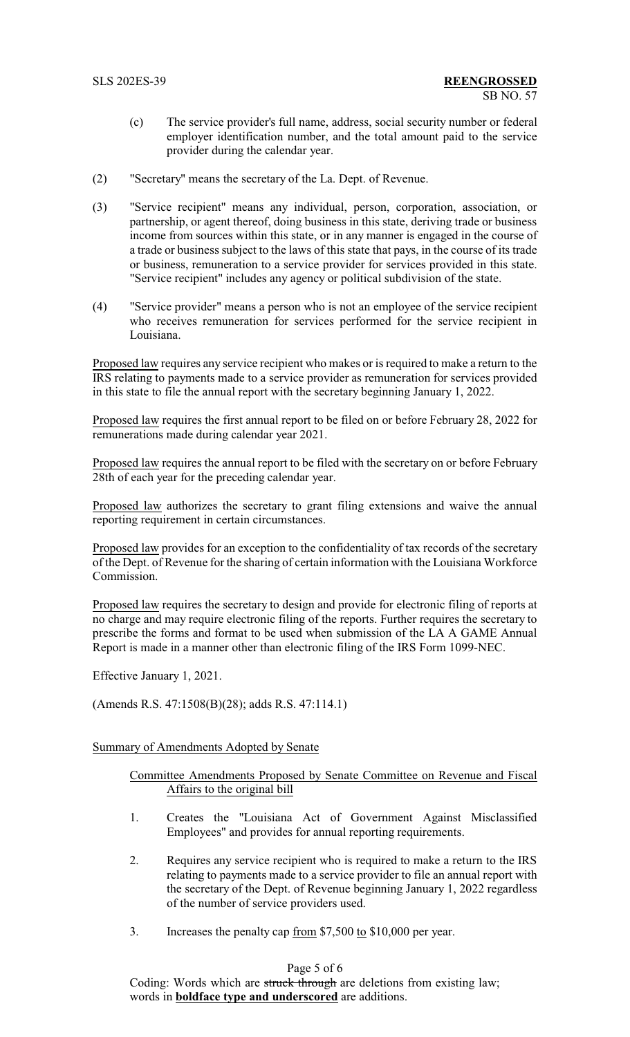- (c) The service provider's full name, address, social security number or federal employer identification number, and the total amount paid to the service provider during the calendar year.
- (2) "Secretary" means the secretary of the La. Dept. of Revenue.
- (3) "Service recipient" means any individual, person, corporation, association, or partnership, or agent thereof, doing business in this state, deriving trade or business income from sources within this state, or in any manner is engaged in the course of a trade or business subject to the laws of this state that pays, in the course of its trade or business, remuneration to a service provider for services provided in this state. "Service recipient" includes any agency or political subdivision of the state.
- (4) "Service provider" means a person who is not an employee of the service recipient who receives remuneration for services performed for the service recipient in Louisiana.

Proposed law requires any service recipient who makes or is required to make a return to the IRS relating to payments made to a service provider as remuneration for services provided in this state to file the annual report with the secretary beginning January 1, 2022.

Proposed law requires the first annual report to be filed on or before February 28, 2022 for remunerations made during calendar year 2021.

Proposed law requires the annual report to be filed with the secretary on or before February 28th of each year for the preceding calendar year.

Proposed law authorizes the secretary to grant filing extensions and waive the annual reporting requirement in certain circumstances.

Proposed law provides for an exception to the confidentiality of tax records of the secretary of the Dept. of Revenue for the sharing of certain information with the Louisiana Workforce Commission.

Proposed law requires the secretary to design and provide for electronic filing of reports at no charge and may require electronic filing of the reports. Further requires the secretary to prescribe the forms and format to be used when submission of the LA A GAME Annual Report is made in a manner other than electronic filing of the IRS Form 1099-NEC.

Effective January 1, 2021.

(Amends R.S. 47:1508(B)(28); adds R.S. 47:114.1)

### Summary of Amendments Adopted by Senate

# Committee Amendments Proposed by Senate Committee on Revenue and Fiscal Affairs to the original bill

- 1. Creates the "Louisiana Act of Government Against Misclassified Employees" and provides for annual reporting requirements.
- 2. Requires any service recipient who is required to make a return to the IRS relating to payments made to a service provider to file an annual report with the secretary of the Dept. of Revenue beginning January 1, 2022 regardless of the number of service providers used.
- 3. Increases the penalty cap from \$7,500 to \$10,000 per year.

# Page 5 of 6

Coding: Words which are struck through are deletions from existing law; words in **boldface type and underscored** are additions.